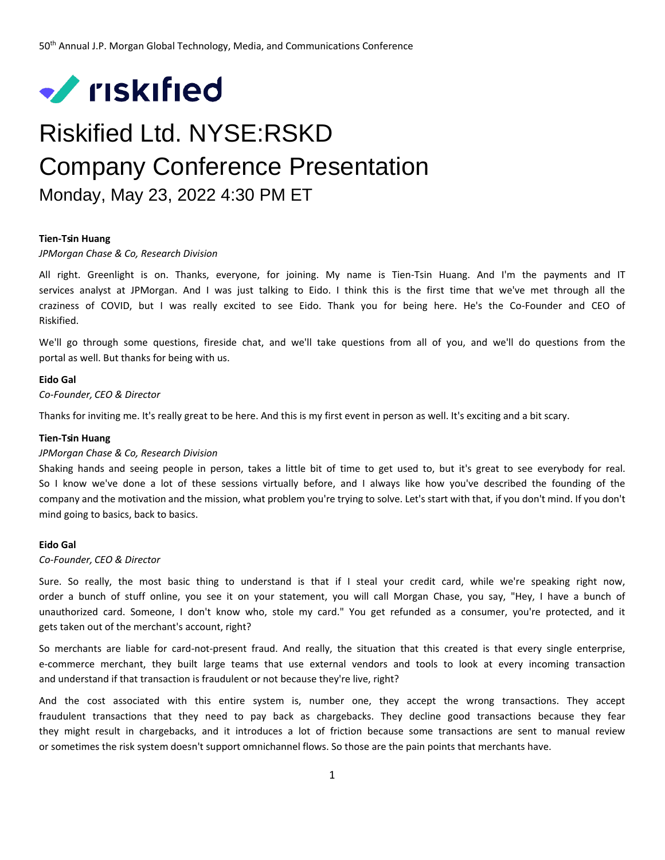

# Riskified Ltd. NYSE:RSKD Company Conference Presentation Monday, May 23, 2022 4:30 PM ET

## **Tien-Tsin Huang**

#### *JPMorgan Chase & Co, Research Division*

All right. Greenlight is on. Thanks, everyone, for joining. My name is Tien-Tsin Huang. And I'm the payments and IT services analyst at JPMorgan. And I was just talking to Eido. I think this is the first time that we've met through all the craziness of COVID, but I was really excited to see Eido. Thank you for being here. He's the Co-Founder and CEO of Riskified.

We'll go through some questions, fireside chat, and we'll take questions from all of you, and we'll do questions from the portal as well. But thanks for being with us.

# **Eido Gal**

*Co-Founder, CEO & Director*

Thanks for inviting me. It's really great to be here. And this is my first event in person as well. It's exciting and a bit scary.

#### **Tien-Tsin Huang**

# *JPMorgan Chase & Co, Research Division*

Shaking hands and seeing people in person, takes a little bit of time to get used to, but it's great to see everybody for real. So I know we've done a lot of these sessions virtually before, and I always like how you've described the founding of the company and the motivation and the mission, what problem you're trying to solve. Let's start with that, if you don't mind. If you don't mind going to basics, back to basics.

# **Eido Gal**

# *Co-Founder, CEO & Director*

Sure. So really, the most basic thing to understand is that if I steal your credit card, while we're speaking right now, order a bunch of stuff online, you see it on your statement, you will call Morgan Chase, you say, "Hey, I have a bunch of unauthorized card. Someone, I don't know who, stole my card." You get refunded as a consumer, you're protected, and it gets taken out of the merchant's account, right?

So merchants are liable for card-not-present fraud. And really, the situation that this created is that every single enterprise, e-commerce merchant, they built large teams that use external vendors and tools to look at every incoming transaction and understand if that transaction is fraudulent or not because they're live, right?

And the cost associated with this entire system is, number one, they accept the wrong transactions. They accept fraudulent transactions that they need to pay back as chargebacks. They decline good transactions because they fear they might result in chargebacks, and it introduces a lot of friction because some transactions are sent to manual review or sometimes the risk system doesn't support omnichannel flows. So those are the pain points that merchants have.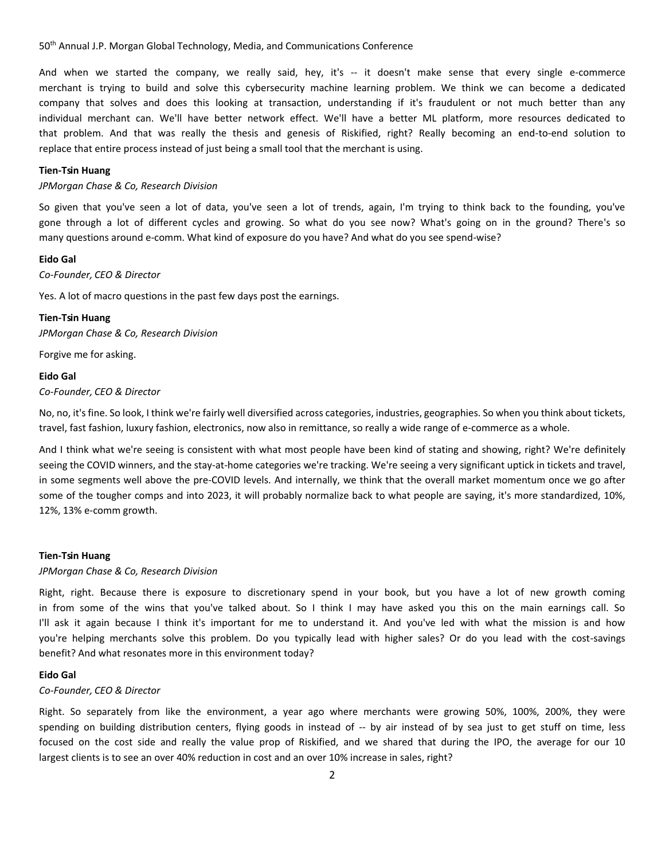And when we started the company, we really said, hey, it's -- it doesn't make sense that every single e-commerce merchant is trying to build and solve this cybersecurity machine learning problem. We think we can become a dedicated company that solves and does this looking at transaction, understanding if it's fraudulent or not much better than any individual merchant can. We'll have better network effect. We'll have a better ML platform, more resources dedicated to that problem. And that was really the thesis and genesis of Riskified, right? Really becoming an end-to-end solution to replace that entire process instead of just being a small tool that the merchant is using.

#### **Tien-Tsin Huang**

# *JPMorgan Chase & Co, Research Division*

So given that you've seen a lot of data, you've seen a lot of trends, again, I'm trying to think back to the founding, you've gone through a lot of different cycles and growing. So what do you see now? What's going on in the ground? There's so many questions around e-comm. What kind of exposure do you have? And what do you see spend-wise?

# **Eido Gal**

*Co-Founder, CEO & Director*

Yes. A lot of macro questions in the past few days post the earnings.

#### **Tien-Tsin Huang**

*JPMorgan Chase & Co, Research Division*

Forgive me for asking.

# **Eido Gal**

*Co-Founder, CEO & Director*

No, no, it's fine. So look, I think we're fairly well diversified across categories, industries, geographies. So when you think about tickets, travel, fast fashion, luxury fashion, electronics, now also in remittance, so really a wide range of e-commerce as a whole.

And I think what we're seeing is consistent with what most people have been kind of stating and showing, right? We're definitely seeing the COVID winners, and the stay-at-home categories we're tracking. We're seeing a very significant uptick in tickets and travel, in some segments well above the pre-COVID levels. And internally, we think that the overall market momentum once we go after some of the tougher comps and into 2023, it will probably normalize back to what people are saying, it's more standardized, 10%, 12%, 13% e-comm growth.

# **Tien-Tsin Huang**

# *JPMorgan Chase & Co, Research Division*

Right, right. Because there is exposure to discretionary spend in your book, but you have a lot of new growth coming in from some of the wins that you've talked about. So I think I may have asked you this on the main earnings call. So I'll ask it again because I think it's important for me to understand it. And you've led with what the mission is and how you're helping merchants solve this problem. Do you typically lead with higher sales? Or do you lead with the cost-savings benefit? And what resonates more in this environment today?

# **Eido Gal**

#### *Co-Founder, CEO & Director*

Right. So separately from like the environment, a year ago where merchants were growing 50%, 100%, 200%, they were spending on building distribution centers, flying goods in instead of -- by air instead of by sea just to get stuff on time, less focused on the cost side and really the value prop of Riskified, and we shared that during the IPO, the average for our 10 largest clients is to see an over 40% reduction in cost and an over 10% increase in sales, right?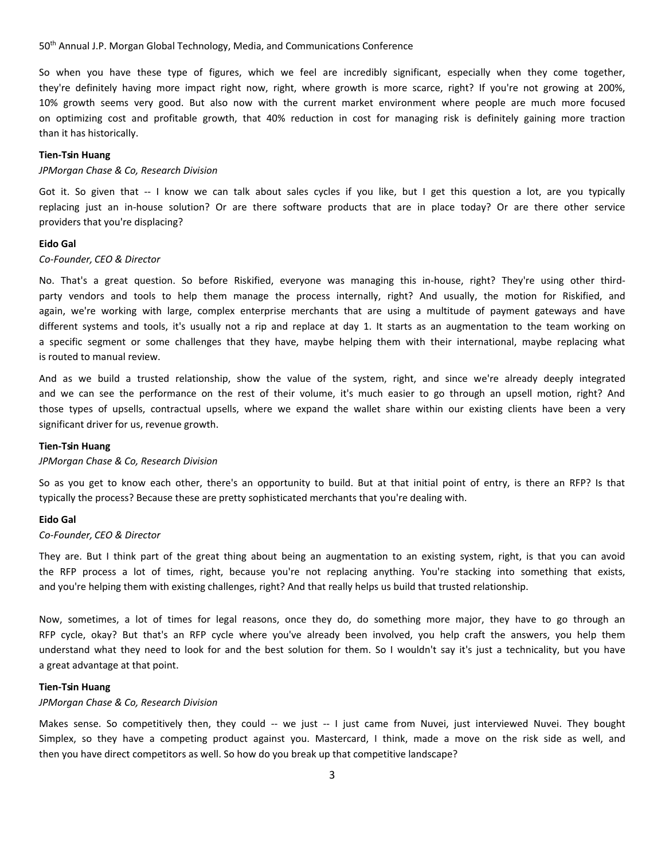So when you have these type of figures, which we feel are incredibly significant, especially when they come together, they're definitely having more impact right now, right, where growth is more scarce, right? If you're not growing at 200%, 10% growth seems very good. But also now with the current market environment where people are much more focused on optimizing cost and profitable growth, that 40% reduction in cost for managing risk is definitely gaining more traction than it has historically.

# **Tien-Tsin Huang**

#### *JPMorgan Chase & Co, Research Division*

Got it. So given that -- I know we can talk about sales cycles if you like, but I get this question a lot, are you typically replacing just an in-house solution? Or are there software products that are in place today? Or are there other service providers that you're displacing?

#### **Eido Gal**

## *Co-Founder, CEO & Director*

No. That's a great question. So before Riskified, everyone was managing this in-house, right? They're using other thirdparty vendors and tools to help them manage the process internally, right? And usually, the motion for Riskified, and again, we're working with large, complex enterprise merchants that are using a multitude of payment gateways and have different systems and tools, it's usually not a rip and replace at day 1. It starts as an augmentation to the team working on a specific segment or some challenges that they have, maybe helping them with their international, maybe replacing what is routed to manual review.

And as we build a trusted relationship, show the value of the system, right, and since we're already deeply integrated and we can see the performance on the rest of their volume, it's much easier to go through an upsell motion, right? And those types of upsells, contractual upsells, where we expand the wallet share within our existing clients have been a very significant driver for us, revenue growth.

# **Tien-Tsin Huang**

## *JPMorgan Chase & Co, Research Division*

So as you get to know each other, there's an opportunity to build. But at that initial point of entry, is there an RFP? Is that typically the process? Because these are pretty sophisticated merchants that you're dealing with.

#### **Eido Gal**

# *Co-Founder, CEO & Director*

They are. But I think part of the great thing about being an augmentation to an existing system, right, is that you can avoid the RFP process a lot of times, right, because you're not replacing anything. You're stacking into something that exists, and you're helping them with existing challenges, right? And that really helps us build that trusted relationship.

Now, sometimes, a lot of times for legal reasons, once they do, do something more major, they have to go through an RFP cycle, okay? But that's an RFP cycle where you've already been involved, you help craft the answers, you help them understand what they need to look for and the best solution for them. So I wouldn't say it's just a technicality, but you have a great advantage at that point.

#### **Tien-Tsin Huang**

#### *JPMorgan Chase & Co, Research Division*

Makes sense. So competitively then, they could -- we just -- I just came from Nuvei, just interviewed Nuvei. They bought Simplex, so they have a competing product against you. Mastercard, I think, made a move on the risk side as well, and then you have direct competitors as well. So how do you break up that competitive landscape?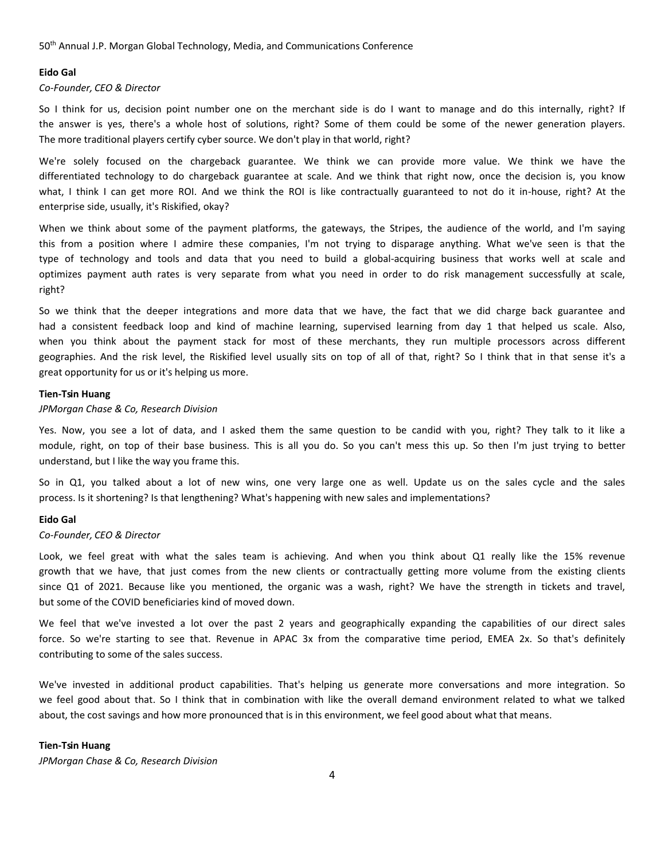# **Eido Gal**

*Co-Founder, CEO & Director*

So I think for us, decision point number one on the merchant side is do I want to manage and do this internally, right? If the answer is yes, there's a whole host of solutions, right? Some of them could be some of the newer generation players. The more traditional players certify cyber source. We don't play in that world, right?

We're solely focused on the chargeback guarantee. We think we can provide more value. We think we have the differentiated technology to do chargeback guarantee at scale. And we think that right now, once the decision is, you know what, I think I can get more ROI. And we think the ROI is like contractually guaranteed to not do it in-house, right? At the enterprise side, usually, it's Riskified, okay?

When we think about some of the payment platforms, the gateways, the Stripes, the audience of the world, and I'm saying this from a position where I admire these companies, I'm not trying to disparage anything. What we've seen is that the type of technology and tools and data that you need to build a global-acquiring business that works well at scale and optimizes payment auth rates is very separate from what you need in order to do risk management successfully at scale, right?

So we think that the deeper integrations and more data that we have, the fact that we did charge back guarantee and had a consistent feedback loop and kind of machine learning, supervised learning from day 1 that helped us scale. Also, when you think about the payment stack for most of these merchants, they run multiple processors across different geographies. And the risk level, the Riskified level usually sits on top of all of that, right? So I think that in that sense it's a great opportunity for us or it's helping us more.

# **Tien-Tsin Huang**

#### *JPMorgan Chase & Co, Research Division*

Yes. Now, you see a lot of data, and I asked them the same question to be candid with you, right? They talk to it like a module, right, on top of their base business. This is all you do. So you can't mess this up. So then I'm just trying to better understand, but I like the way you frame this.

So in Q1, you talked about a lot of new wins, one very large one as well. Update us on the sales cycle and the sales process. Is it shortening? Is that lengthening? What's happening with new sales and implementations?

#### **Eido Gal**

#### *Co-Founder, CEO & Director*

Look, we feel great with what the sales team is achieving. And when you think about Q1 really like the 15% revenue growth that we have, that just comes from the new clients or contractually getting more volume from the existing clients since Q1 of 2021. Because like you mentioned, the organic was a wash, right? We have the strength in tickets and travel, but some of the COVID beneficiaries kind of moved down.

We feel that we've invested a lot over the past 2 years and geographically expanding the capabilities of our direct sales force. So we're starting to see that. Revenue in APAC 3x from the comparative time period, EMEA 2x. So that's definitely contributing to some of the sales success.

We've invested in additional product capabilities. That's helping us generate more conversations and more integration. So we feel good about that. So I think that in combination with like the overall demand environment related to what we talked about, the cost savings and how more pronounced that is in this environment, we feel good about what that means.

# **Tien-Tsin Huang**

*JPMorgan Chase & Co, Research Division*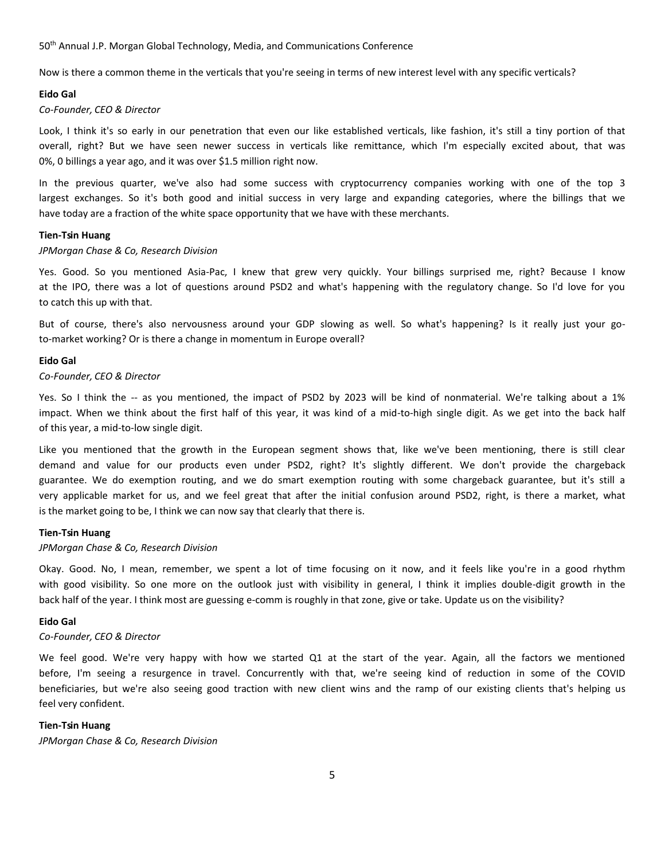Now is there a common theme in the verticals that you're seeing in terms of new interest level with any specific verticals?

# **Eido Gal**

#### *Co-Founder, CEO & Director*

Look, I think it's so early in our penetration that even our like established verticals, like fashion, it's still a tiny portion of that overall, right? But we have seen newer success in verticals like remittance, which I'm especially excited about, that was 0%, 0 billings a year ago, and it was over \$1.5 million right now.

In the previous quarter, we've also had some success with cryptocurrency companies working with one of the top 3 largest exchanges. So it's both good and initial success in very large and expanding categories, where the billings that we have today are a fraction of the white space opportunity that we have with these merchants.

# **Tien-Tsin Huang**

#### *JPMorgan Chase & Co, Research Division*

Yes. Good. So you mentioned Asia-Pac, I knew that grew very quickly. Your billings surprised me, right? Because I know at the IPO, there was a lot of questions around PSD2 and what's happening with the regulatory change. So I'd love for you to catch this up with that.

But of course, there's also nervousness around your GDP slowing as well. So what's happening? Is it really just your goto-market working? Or is there a change in momentum in Europe overall?

# **Eido Gal**

# *Co-Founder, CEO & Director*

Yes. So I think the -- as you mentioned, the impact of PSD2 by 2023 will be kind of nonmaterial. We're talking about a 1% impact. When we think about the first half of this year, it was kind of a mid-to-high single digit. As we get into the back half of this year, a mid-to-low single digit.

Like you mentioned that the growth in the European segment shows that, like we've been mentioning, there is still clear demand and value for our products even under PSD2, right? It's slightly different. We don't provide the chargeback guarantee. We do exemption routing, and we do smart exemption routing with some chargeback guarantee, but it's still a very applicable market for us, and we feel great that after the initial confusion around PSD2, right, is there a market, what is the market going to be, I think we can now say that clearly that there is.

#### **Tien-Tsin Huang**

# *JPMorgan Chase & Co, Research Division*

Okay. Good. No, I mean, remember, we spent a lot of time focusing on it now, and it feels like you're in a good rhythm with good visibility. So one more on the outlook just with visibility in general, I think it implies double-digit growth in the back half of the year. I think most are guessing e-comm is roughly in that zone, give or take. Update us on the visibility?

# **Eido Gal**

## *Co-Founder, CEO & Director*

We feel good. We're very happy with how we started Q1 at the start of the year. Again, all the factors we mentioned before, I'm seeing a resurgence in travel. Concurrently with that, we're seeing kind of reduction in some of the COVID beneficiaries, but we're also seeing good traction with new client wins and the ramp of our existing clients that's helping us feel very confident.

# **Tien-Tsin Huang**

*JPMorgan Chase & Co, Research Division*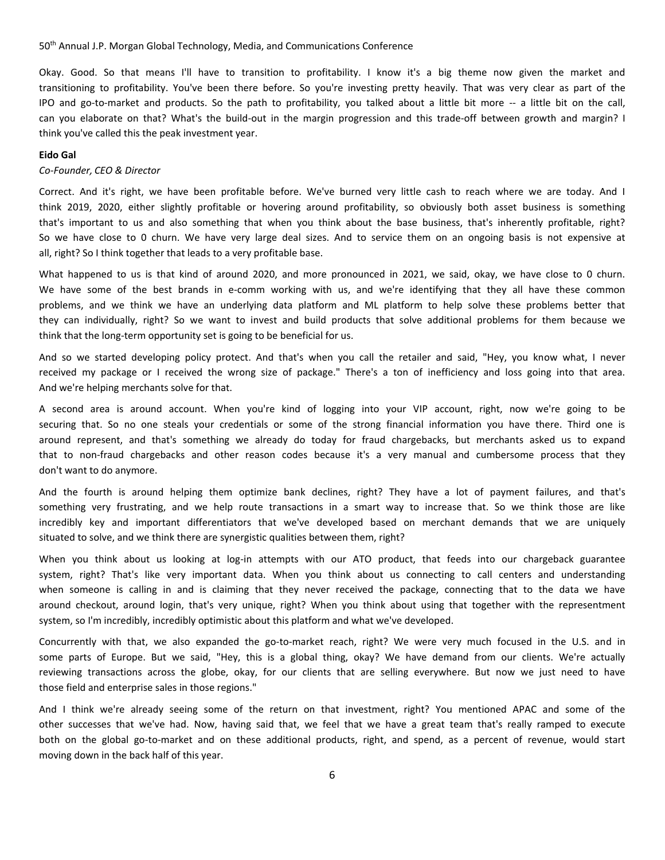Okay. Good. So that means I'll have to transition to profitability. I know it's a big theme now given the market and transitioning to profitability. You've been there before. So you're investing pretty heavily. That was very clear as part of the IPO and go-to-market and products. So the path to profitability, you talked about a little bit more -- a little bit on the call, can you elaborate on that? What's the build-out in the margin progression and this trade-off between growth and margin? I think you've called this the peak investment year.

# **Eido Gal**

#### *Co-Founder, CEO & Director*

Correct. And it's right, we have been profitable before. We've burned very little cash to reach where we are today. And I think 2019, 2020, either slightly profitable or hovering around profitability, so obviously both asset business is something that's important to us and also something that when you think about the base business, that's inherently profitable, right? So we have close to 0 churn. We have very large deal sizes. And to service them on an ongoing basis is not expensive at all, right? So I think together that leads to a very profitable base.

What happened to us is that kind of around 2020, and more pronounced in 2021, we said, okay, we have close to 0 churn. We have some of the best brands in e-comm working with us, and we're identifying that they all have these common problems, and we think we have an underlying data platform and ML platform to help solve these problems better that they can individually, right? So we want to invest and build products that solve additional problems for them because we think that the long-term opportunity set is going to be beneficial for us.

And so we started developing policy protect. And that's when you call the retailer and said, "Hey, you know what, I never received my package or I received the wrong size of package." There's a ton of inefficiency and loss going into that area. And we're helping merchants solve for that.

A second area is around account. When you're kind of logging into your VIP account, right, now we're going to be securing that. So no one steals your credentials or some of the strong financial information you have there. Third one is around represent, and that's something we already do today for fraud chargebacks, but merchants asked us to expand that to non-fraud chargebacks and other reason codes because it's a very manual and cumbersome process that they don't want to do anymore.

And the fourth is around helping them optimize bank declines, right? They have a lot of payment failures, and that's something very frustrating, and we help route transactions in a smart way to increase that. So we think those are like incredibly key and important differentiators that we've developed based on merchant demands that we are uniquely situated to solve, and we think there are synergistic qualities between them, right?

When you think about us looking at log-in attempts with our ATO product, that feeds into our chargeback guarantee system, right? That's like very important data. When you think about us connecting to call centers and understanding when someone is calling in and is claiming that they never received the package, connecting that to the data we have around checkout, around login, that's very unique, right? When you think about using that together with the representment system, so I'm incredibly, incredibly optimistic about this platform and what we've developed.

Concurrently with that, we also expanded the go-to-market reach, right? We were very much focused in the U.S. and in some parts of Europe. But we said, "Hey, this is a global thing, okay? We have demand from our clients. We're actually reviewing transactions across the globe, okay, for our clients that are selling everywhere. But now we just need to have those field and enterprise sales in those regions."

And I think we're already seeing some of the return on that investment, right? You mentioned APAC and some of the other successes that we've had. Now, having said that, we feel that we have a great team that's really ramped to execute both on the global go-to-market and on these additional products, right, and spend, as a percent of revenue, would start moving down in the back half of this year.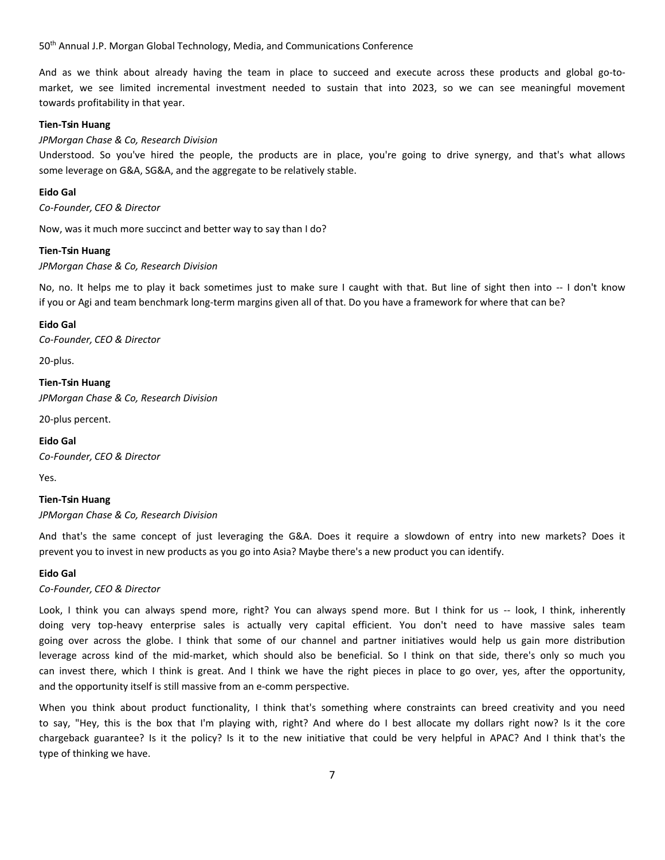And as we think about already having the team in place to succeed and execute across these products and global go-tomarket, we see limited incremental investment needed to sustain that into 2023, so we can see meaningful movement towards profitability in that year.

# **Tien-Tsin Huang**

*JPMorgan Chase & Co, Research Division*

Understood. So you've hired the people, the products are in place, you're going to drive synergy, and that's what allows some leverage on G&A, SG&A, and the aggregate to be relatively stable.

# **Eido Gal**

*Co-Founder, CEO & Director*

Now, was it much more succinct and better way to say than I do?

#### **Tien-Tsin Huang**

*JPMorgan Chase & Co, Research Division*

No, no. It helps me to play it back sometimes just to make sure I caught with that. But line of sight then into -- I don't know if you or Agi and team benchmark long-term margins given all of that. Do you have a framework for where that can be?

# **Eido Gal**

*Co-Founder, CEO & Director*

20-plus.

**Tien-Tsin Huang** *JPMorgan Chase & Co, Research Division*

20-plus percent.

# **Eido Gal**

*Co-Founder, CEO & Director*

Yes.

# **Tien-Tsin Huang**

*JPMorgan Chase & Co, Research Division*

And that's the same concept of just leveraging the G&A. Does it require a slowdown of entry into new markets? Does it prevent you to invest in new products as you go into Asia? Maybe there's a new product you can identify.

# **Eido Gal**

*Co-Founder, CEO & Director*

Look, I think you can always spend more, right? You can always spend more. But I think for us -- look, I think, inherently doing very top-heavy enterprise sales is actually very capital efficient. You don't need to have massive sales team going over across the globe. I think that some of our channel and partner initiatives would help us gain more distribution leverage across kind of the mid-market, which should also be beneficial. So I think on that side, there's only so much you can invest there, which I think is great. And I think we have the right pieces in place to go over, yes, after the opportunity, and the opportunity itself is still massive from an e-comm perspective.

When you think about product functionality, I think that's something where constraints can breed creativity and you need to say, "Hey, this is the box that I'm playing with, right? And where do I best allocate my dollars right now? Is it the core chargeback guarantee? Is it the policy? Is it to the new initiative that could be very helpful in APAC? And I think that's the type of thinking we have.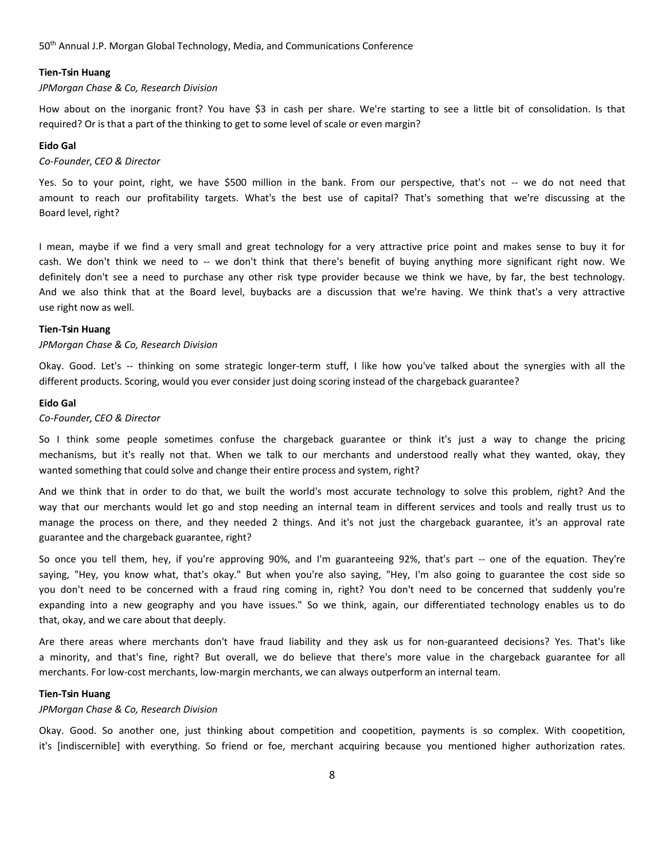# **Tien-Tsin Huang**

# *JPMorgan Chase & Co, Research Division*

How about on the inorganic front? You have \$3 in cash per share. We're starting to see a little bit of consolidation. Is that required? Or is that a part of the thinking to get to some level of scale or even margin?

# **Eido Gal**

# *Co-Founder, CEO & Director*

Yes. So to your point, right, we have \$500 million in the bank. From our perspective, that's not -- we do not need that amount to reach our profitability targets. What's the best use of capital? That's something that we're discussing at the Board level, right?

I mean, maybe if we find a very small and great technology for a very attractive price point and makes sense to buy it for cash. We don't think we need to -- we don't think that there's benefit of buying anything more significant right now. We definitely don't see a need to purchase any other risk type provider because we think we have, by far, the best technology. And we also think that at the Board level, buybacks are a discussion that we're having. We think that's a very attractive use right now as well.

# **Tien-Tsin Huang**

# *JPMorgan Chase & Co, Research Division*

Okay. Good. Let's -- thinking on some strategic longer-term stuff, I like how you've talked about the synergies with all the different products. Scoring, would you ever consider just doing scoring instead of the chargeback guarantee?

# **Eido Gal**

# *Co-Founder, CEO & Director*

So I think some people sometimes confuse the chargeback guarantee or think it's just a way to change the pricing mechanisms, but it's really not that. When we talk to our merchants and understood really what they wanted, okay, they wanted something that could solve and change their entire process and system, right?

And we think that in order to do that, we built the world's most accurate technology to solve this problem, right? And the way that our merchants would let go and stop needing an internal team in different services and tools and really trust us to manage the process on there, and they needed 2 things. And it's not just the chargeback guarantee, it's an approval rate guarantee and the chargeback guarantee, right?

So once you tell them, hey, if you're approving 90%, and I'm guaranteeing 92%, that's part -- one of the equation. They're saying, "Hey, you know what, that's okay." But when you're also saying, "Hey, I'm also going to guarantee the cost side so you don't need to be concerned with a fraud ring coming in, right? You don't need to be concerned that suddenly you're expanding into a new geography and you have issues." So we think, again, our differentiated technology enables us to do that, okay, and we care about that deeply.

Are there areas where merchants don't have fraud liability and they ask us for non-guaranteed decisions? Yes. That's like a minority, and that's fine, right? But overall, we do believe that there's more value in the chargeback guarantee for all merchants. For low-cost merchants, low-margin merchants, we can always outperform an internal team.

# **Tien-Tsin Huang**

# *JPMorgan Chase & Co, Research Division*

Okay. Good. So another one, just thinking about competition and coopetition, payments is so complex. With coopetition, it's [indiscernible] with everything. So friend or foe, merchant acquiring because you mentioned higher authorization rates.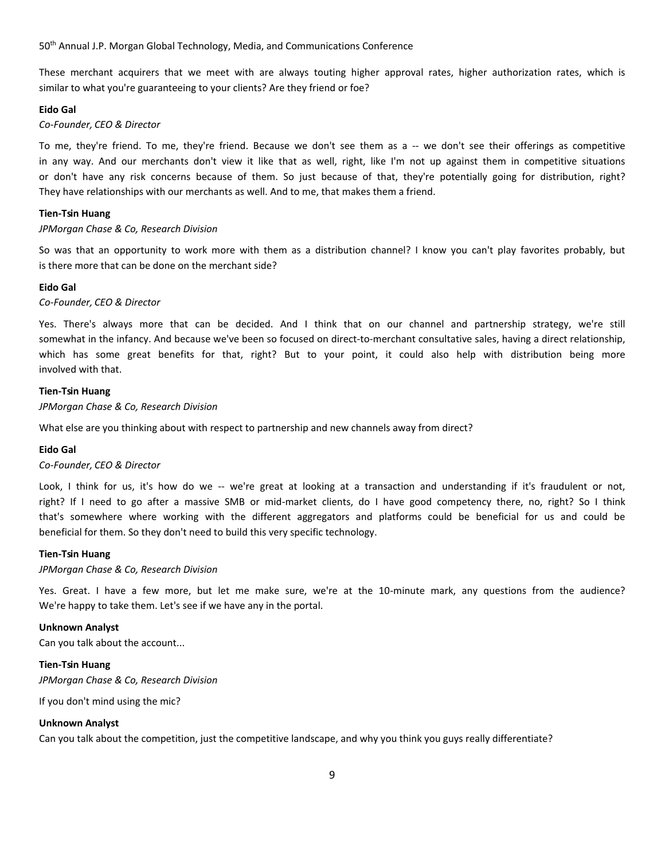These merchant acquirers that we meet with are always touting higher approval rates, higher authorization rates, which is similar to what you're guaranteeing to your clients? Are they friend or foe?

## **Eido Gal**

# *Co-Founder, CEO & Director*

To me, they're friend. To me, they're friend. Because we don't see them as a -- we don't see their offerings as competitive in any way. And our merchants don't view it like that as well, right, like I'm not up against them in competitive situations or don't have any risk concerns because of them. So just because of that, they're potentially going for distribution, right? They have relationships with our merchants as well. And to me, that makes them a friend.

# **Tien-Tsin Huang**

#### *JPMorgan Chase & Co, Research Division*

So was that an opportunity to work more with them as a distribution channel? I know you can't play favorites probably, but is there more that can be done on the merchant side?

# **Eido Gal**

# *Co-Founder, CEO & Director*

Yes. There's always more that can be decided. And I think that on our channel and partnership strategy, we're still somewhat in the infancy. And because we've been so focused on direct-to-merchant consultative sales, having a direct relationship, which has some great benefits for that, right? But to your point, it could also help with distribution being more involved with that.

#### **Tien-Tsin Huang**

*JPMorgan Chase & Co, Research Division*

What else are you thinking about with respect to partnership and new channels away from direct?

# **Eido Gal**

*Co-Founder, CEO & Director*

Look, I think for us, it's how do we -- we're great at looking at a transaction and understanding if it's fraudulent or not, right? If I need to go after a massive SMB or mid-market clients, do I have good competency there, no, right? So I think that's somewhere where working with the different aggregators and platforms could be beneficial for us and could be beneficial for them. So they don't need to build this very specific technology.

# **Tien-Tsin Huang**

#### *JPMorgan Chase & Co, Research Division*

Yes. Great. I have a few more, but let me make sure, we're at the 10-minute mark, any questions from the audience? We're happy to take them. Let's see if we have any in the portal.

# **Unknown Analyst**

Can you talk about the account...

# **Tien-Tsin Huang**

*JPMorgan Chase & Co, Research Division*

If you don't mind using the mic?

# **Unknown Analyst**

Can you talk about the competition, just the competitive landscape, and why you think you guys really differentiate?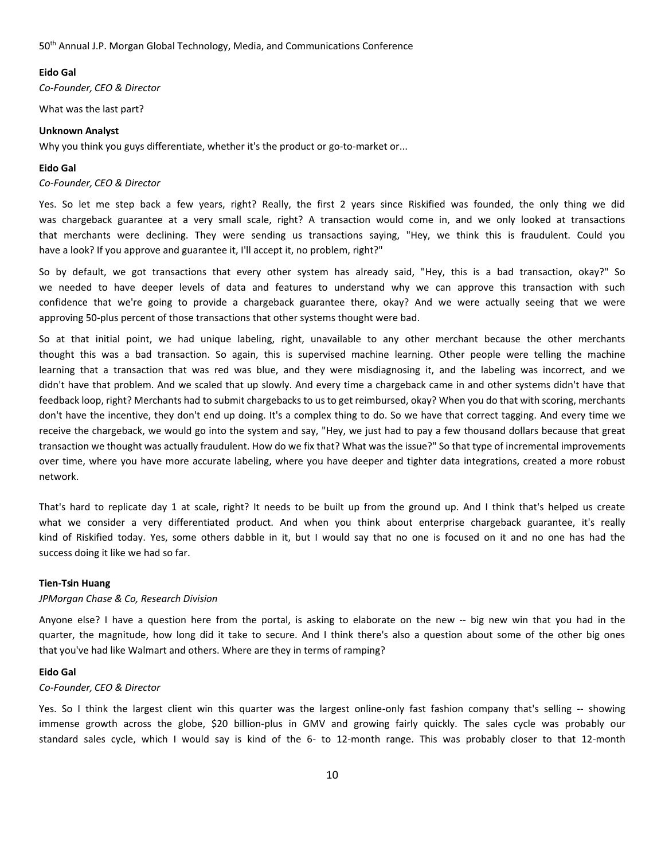# **Eido Gal**

*Co-Founder, CEO & Director*

What was the last part?

#### **Unknown Analyst**

Why you think you guys differentiate, whether it's the product or go-to-market or...

# **Eido Gal**

#### *Co-Founder, CEO & Director*

Yes. So let me step back a few years, right? Really, the first 2 years since Riskified was founded, the only thing we did was chargeback guarantee at a very small scale, right? A transaction would come in, and we only looked at transactions that merchants were declining. They were sending us transactions saying, "Hey, we think this is fraudulent. Could you have a look? If you approve and guarantee it, I'll accept it, no problem, right?"

So by default, we got transactions that every other system has already said, "Hey, this is a bad transaction, okay?" So we needed to have deeper levels of data and features to understand why we can approve this transaction with such confidence that we're going to provide a chargeback guarantee there, okay? And we were actually seeing that we were approving 50-plus percent of those transactions that other systems thought were bad.

So at that initial point, we had unique labeling, right, unavailable to any other merchant because the other merchants thought this was a bad transaction. So again, this is supervised machine learning. Other people were telling the machine learning that a transaction that was red was blue, and they were misdiagnosing it, and the labeling was incorrect, and we didn't have that problem. And we scaled that up slowly. And every time a chargeback came in and other systems didn't have that feedback loop, right? Merchants had to submit chargebacks to us to get reimbursed, okay? When you do that with scoring, merchants don't have the incentive, they don't end up doing. It's a complex thing to do. So we have that correct tagging. And every time we receive the chargeback, we would go into the system and say, "Hey, we just had to pay a few thousand dollars because that great transaction we thought was actually fraudulent. How do we fix that? What was the issue?" So that type of incremental improvements over time, where you have more accurate labeling, where you have deeper and tighter data integrations, created a more robust network.

That's hard to replicate day 1 at scale, right? It needs to be built up from the ground up. And I think that's helped us create what we consider a very differentiated product. And when you think about enterprise chargeback guarantee, it's really kind of Riskified today. Yes, some others dabble in it, but I would say that no one is focused on it and no one has had the success doing it like we had so far.

#### **Tien-Tsin Huang**

#### *JPMorgan Chase & Co, Research Division*

Anyone else? I have a question here from the portal, is asking to elaborate on the new -- big new win that you had in the quarter, the magnitude, how long did it take to secure. And I think there's also a question about some of the other big ones that you've had like Walmart and others. Where are they in terms of ramping?

# **Eido Gal**

# *Co-Founder, CEO & Director*

Yes. So I think the largest client win this quarter was the largest online-only fast fashion company that's selling -- showing immense growth across the globe, \$20 billion-plus in GMV and growing fairly quickly. The sales cycle was probably our standard sales cycle, which I would say is kind of the 6- to 12-month range. This was probably closer to that 12-month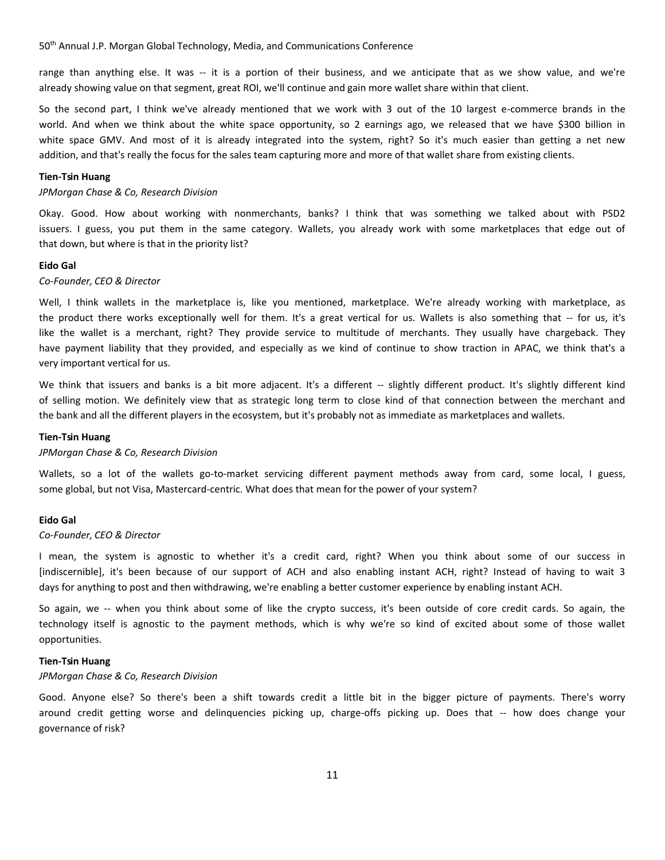range than anything else. It was -- it is a portion of their business, and we anticipate that as we show value, and we're already showing value on that segment, great ROI, we'll continue and gain more wallet share within that client.

So the second part, I think we've already mentioned that we work with 3 out of the 10 largest e-commerce brands in the world. And when we think about the white space opportunity, so 2 earnings ago, we released that we have \$300 billion in white space GMV. And most of it is already integrated into the system, right? So it's much easier than getting a net new addition, and that's really the focus for the sales team capturing more and more of that wallet share from existing clients.

# **Tien-Tsin Huang**

# *JPMorgan Chase & Co, Research Division*

Okay. Good. How about working with nonmerchants, banks? I think that was something we talked about with PSD2 issuers. I guess, you put them in the same category. Wallets, you already work with some marketplaces that edge out of that down, but where is that in the priority list?

#### **Eido Gal**

#### *Co-Founder, CEO & Director*

Well, I think wallets in the marketplace is, like you mentioned, marketplace. We're already working with marketplace, as the product there works exceptionally well for them. It's a great vertical for us. Wallets is also something that -- for us, it's like the wallet is a merchant, right? They provide service to multitude of merchants. They usually have chargeback. They have payment liability that they provided, and especially as we kind of continue to show traction in APAC, we think that's a very important vertical for us.

We think that issuers and banks is a bit more adjacent. It's a different -- slightly different product. It's slightly different kind of selling motion. We definitely view that as strategic long term to close kind of that connection between the merchant and the bank and all the different players in the ecosystem, but it's probably not as immediate as marketplaces and wallets.

#### **Tien-Tsin Huang**

#### *JPMorgan Chase & Co, Research Division*

Wallets, so a lot of the wallets go-to-market servicing different payment methods away from card, some local, I guess, some global, but not Visa, Mastercard-centric. What does that mean for the power of your system?

#### **Eido Gal**

# *Co-Founder, CEO & Director*

I mean, the system is agnostic to whether it's a credit card, right? When you think about some of our success in [indiscernible], it's been because of our support of ACH and also enabling instant ACH, right? Instead of having to wait 3 days for anything to post and then withdrawing, we're enabling a better customer experience by enabling instant ACH.

So again, we -- when you think about some of like the crypto success, it's been outside of core credit cards. So again, the technology itself is agnostic to the payment methods, which is why we're so kind of excited about some of those wallet opportunities.

#### **Tien-Tsin Huang**

## *JPMorgan Chase & Co, Research Division*

Good. Anyone else? So there's been a shift towards credit a little bit in the bigger picture of payments. There's worry around credit getting worse and delinquencies picking up, charge-offs picking up. Does that -- how does change your governance of risk?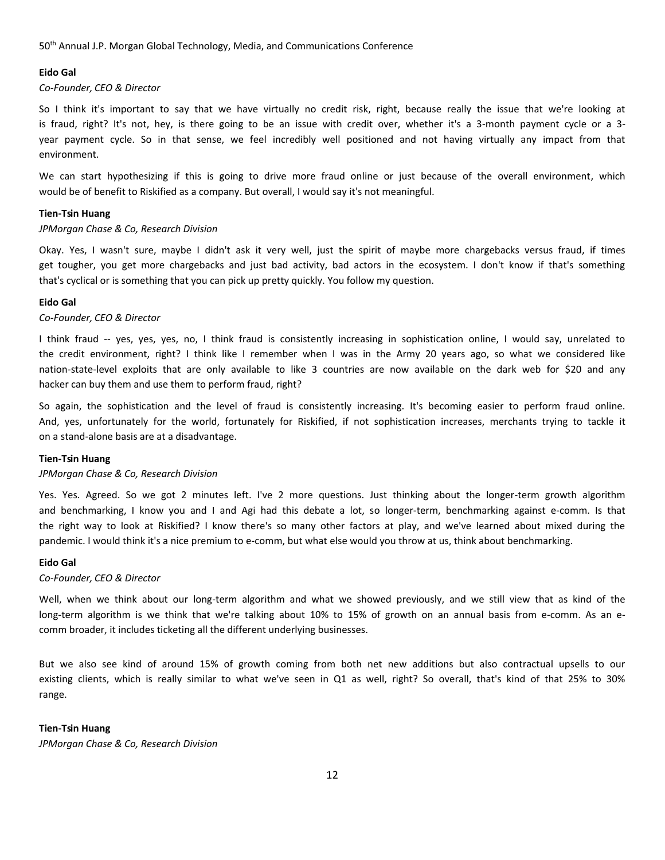# **Eido Gal**

# *Co-Founder, CEO & Director*

So I think it's important to say that we have virtually no credit risk, right, because really the issue that we're looking at is fraud, right? It's not, hey, is there going to be an issue with credit over, whether it's a 3-month payment cycle or a 3 year payment cycle. So in that sense, we feel incredibly well positioned and not having virtually any impact from that environment.

We can start hypothesizing if this is going to drive more fraud online or just because of the overall environment, which would be of benefit to Riskified as a company. But overall, I would say it's not meaningful.

# **Tien-Tsin Huang**

# *JPMorgan Chase & Co, Research Division*

Okay. Yes, I wasn't sure, maybe I didn't ask it very well, just the spirit of maybe more chargebacks versus fraud, if times get tougher, you get more chargebacks and just bad activity, bad actors in the ecosystem. I don't know if that's something that's cyclical or is something that you can pick up pretty quickly. You follow my question.

#### **Eido Gal**

# *Co-Founder, CEO & Director*

I think fraud -- yes, yes, yes, no, I think fraud is consistently increasing in sophistication online, I would say, unrelated to the credit environment, right? I think like I remember when I was in the Army 20 years ago, so what we considered like nation-state-level exploits that are only available to like 3 countries are now available on the dark web for \$20 and any hacker can buy them and use them to perform fraud, right?

So again, the sophistication and the level of fraud is consistently increasing. It's becoming easier to perform fraud online. And, yes, unfortunately for the world, fortunately for Riskified, if not sophistication increases, merchants trying to tackle it on a stand-alone basis are at a disadvantage.

# **Tien-Tsin Huang**

# *JPMorgan Chase & Co, Research Division*

Yes. Yes. Agreed. So we got 2 minutes left. I've 2 more questions. Just thinking about the longer-term growth algorithm and benchmarking, I know you and I and Agi had this debate a lot, so longer-term, benchmarking against e-comm. Is that the right way to look at Riskified? I know there's so many other factors at play, and we've learned about mixed during the pandemic. I would think it's a nice premium to e-comm, but what else would you throw at us, think about benchmarking.

# **Eido Gal**

#### *Co-Founder, CEO & Director*

Well, when we think about our long-term algorithm and what we showed previously, and we still view that as kind of the long-term algorithm is we think that we're talking about 10% to 15% of growth on an annual basis from e-comm. As an ecomm broader, it includes ticketing all the different underlying businesses.

But we also see kind of around 15% of growth coming from both net new additions but also contractual upsells to our existing clients, which is really similar to what we've seen in Q1 as well, right? So overall, that's kind of that 25% to 30% range.

# **Tien-Tsin Huang**

*JPMorgan Chase & Co, Research Division*